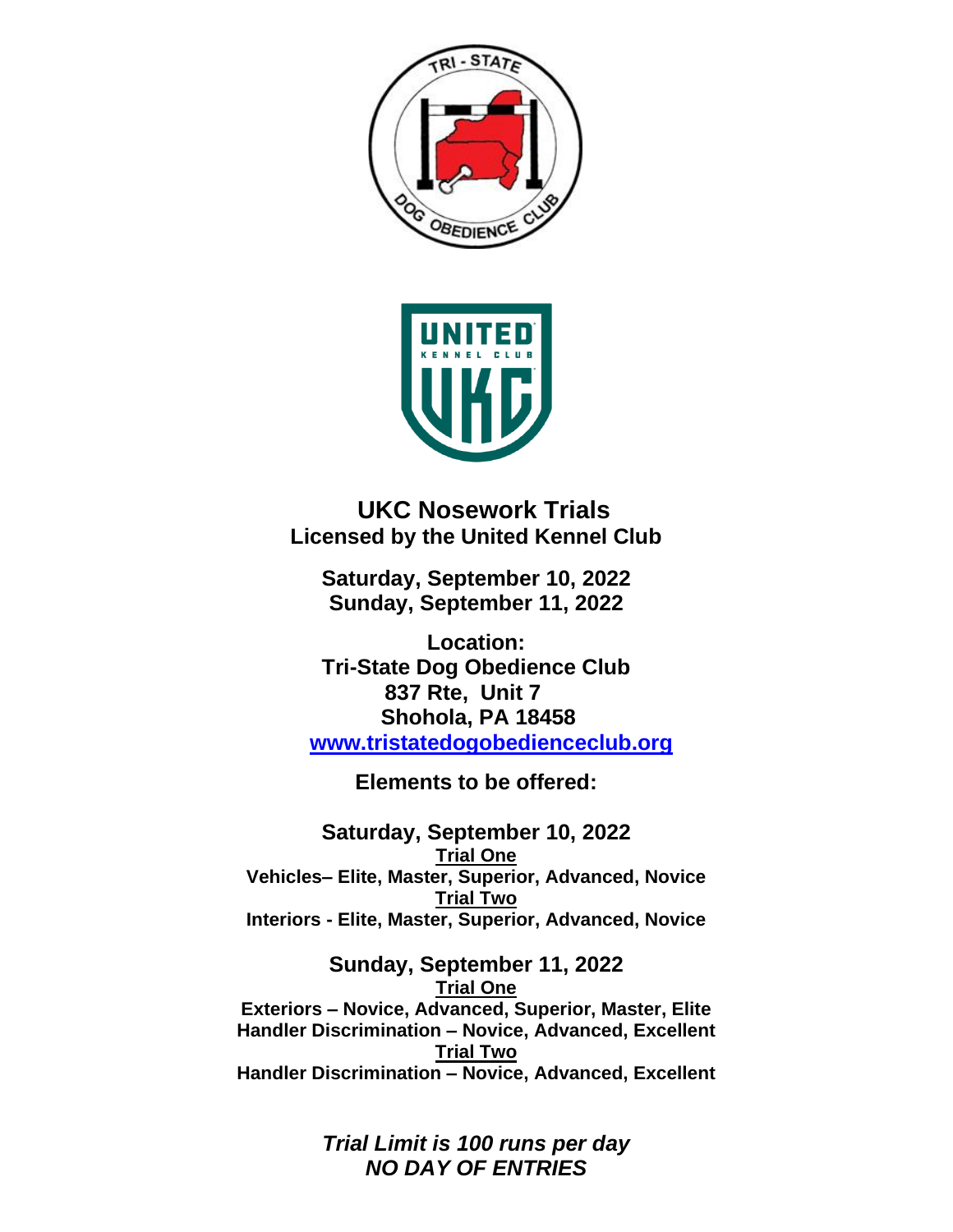



 **UKC Nosework Trials Licensed by the United Kennel Club**

**Saturday, September 10, 2022 Sunday, September 11, 2022**

**Location: Tri-State Dog Obedience Club 837 Rte, Unit 7 Shohola, PA 18458 [www.tristatedogobedienceclub.org](http://www.tristatedogobedienceclub.org/)**

**Elements to be offered:**

**Saturday, September 10, 2022 Trial One Vehicles– Elite, Master, Superior, Advanced, Novice Trial Two Interiors - Elite, Master, Superior, Advanced, Novice**

**Sunday, September 11, 2022 Trial One Exteriors – Novice, Advanced, Superior, Master, Elite Handler Discrimination – Novice, Advanced, Excellent Trial Two Handler Discrimination – Novice, Advanced, Excellent**

> *Trial Limit is 100 runs per day NO DAY OF ENTRIES*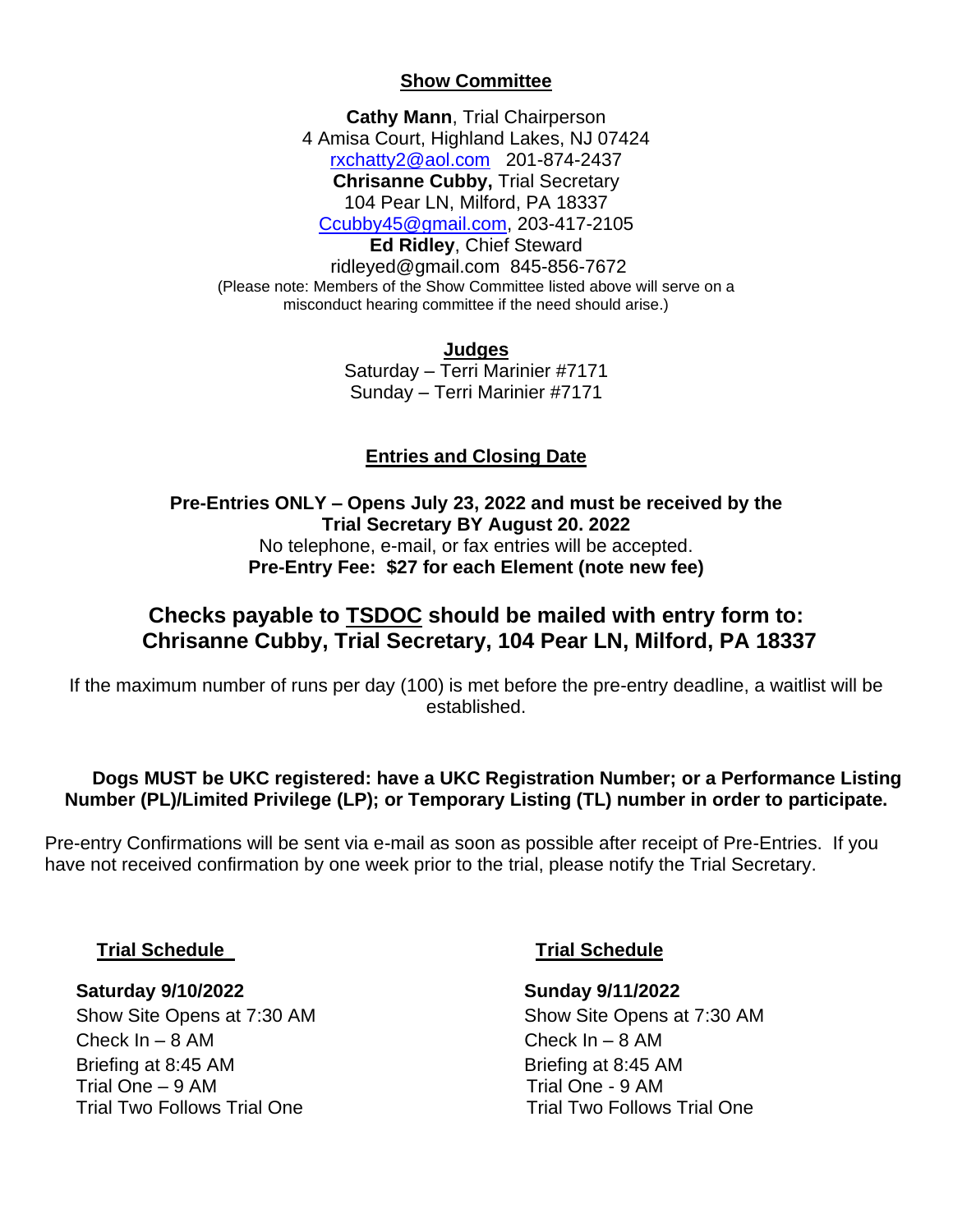## **Show Committee**

**Cathy Mann**, Trial Chairperson 4 Amisa Court, Highland Lakes, NJ 07424 [rxchatty2@aol.com](mailto:rxchatty2@aol.com) 201-874-2437 **Chrisanne Cubby,** Trial Secretary 104 Pear LN, Milford, PA 18337 [Ccubby45@gmail.com,](mailto:Ccubby45@gmail.com) 203-417-2105 **Ed Ridley**, Chief Steward [ridleyed@gmail.com](mailto:ridleyed@gmail.com) 845-856-7672 (Please note: Members of the Show Committee listed above will serve on a misconduct hearing committee if the need should arise.)

> **Judges** Saturday – Terri Marinier #7171 Sunday – Terri Marinier #7171

## **Entries and Closing Date**

**Pre-Entries ONLY – Opens July 23, 2022 and must be received by the Trial Secretary BY August 20. 2022** No telephone, e-mail, or fax entries will be accepted. **Pre-Entry Fee: \$27 for each Element (note new fee)**

## **Checks payable to TSDOC should be mailed with entry form to: Chrisanne Cubby, Trial Secretary, 104 Pear LN, Milford, PA 18337**

If the maximum number of runs per day (100) is met before the pre-entry deadline, a waitlist will be established.

## **Dogs MUST be UKC registered: have a UKC Registration Number; or a Performance Listing Number (PL)/Limited Privilege (LP); or Temporary Listing (TL) number in order to participate.**

Pre-entry Confirmations will be sent via e-mail as soon as possible after receipt of Pre-Entries. If you have not received confirmation by one week prior to the trial, please notify the Trial Secretary.

## **Trial Schedule Trial Schedule**

## **Saturday 9/10/2022 Sunday 9/11/2022**

 Check In – 8 AM Check In – 8 AM Briefing at 8:45 AM Briefing at 8:45 AM Trial One – 9 AM Trial One - 9 AM Trial Two Follows Trial One Trial Trial Two Follows Trial One

Show Site Opens at 7:30 AM Show Site Opens at 7:30 AM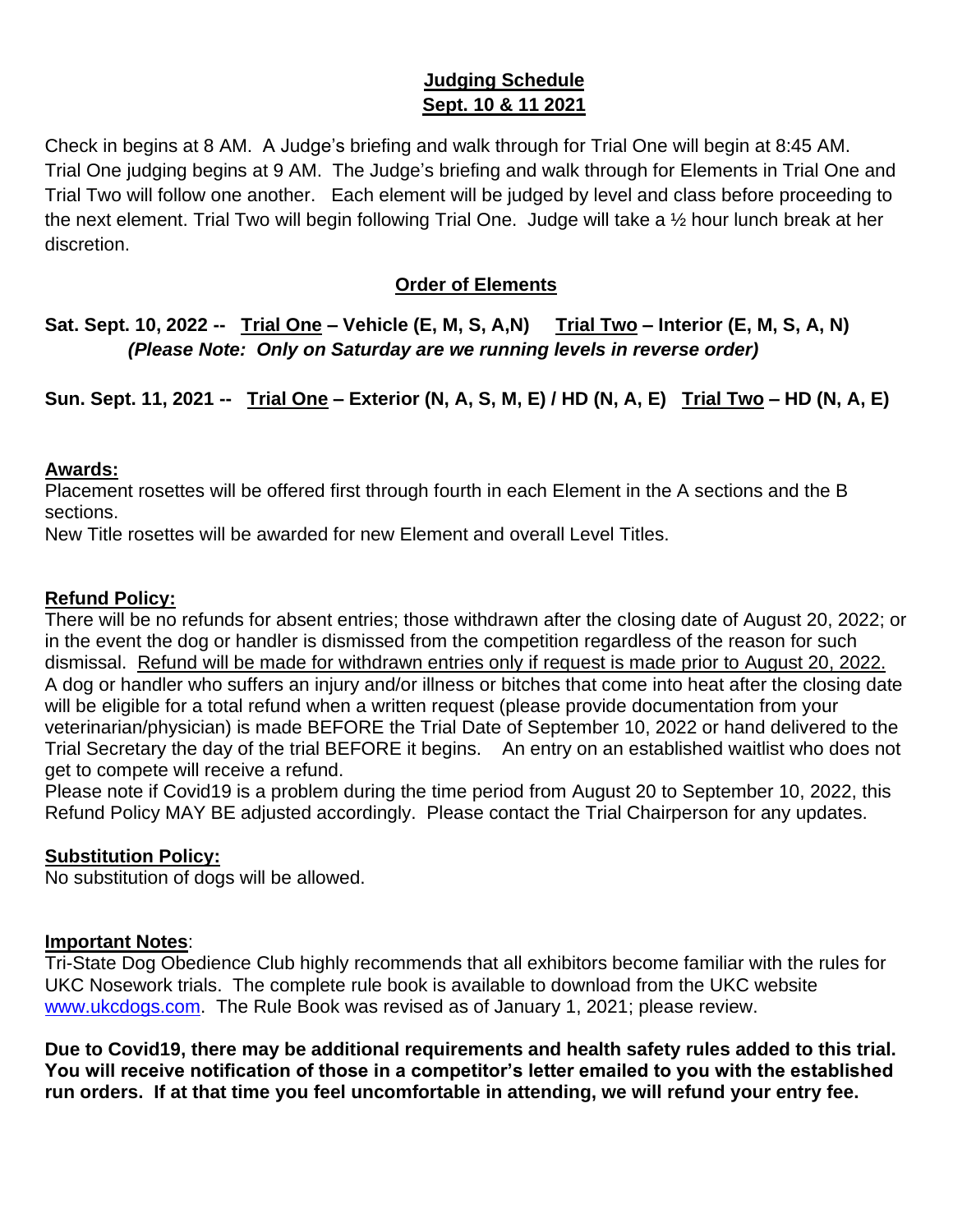## **Judging Schedule Sept. 10 & 11 2021**

Check in begins at 8 AM. A Judge's briefing and walk through for Trial One will begin at 8:45 AM. Trial One judging begins at 9 AM. The Judge's briefing and walk through for Elements in Trial One and Trial Two will follow one another. Each element will be judged by level and class before proceeding to the next element. Trial Two will begin following Trial One. Judge will take a ½ hour lunch break at her discretion.

## **Order of Elements**

**Sat. Sept. 10, 2022 -- Trial One – Vehicle (E, M, S, A,N) Trial Two – Interior (E, M, S, A, N)**  *(Please Note: Only on Saturday are we running levels in reverse order)*

**Sun. Sept. 11, 2021 -- Trial One – Exterior (N, A, S, M, E) / HD (N, A, E) Trial Two – HD (N, A, E)**

## **Awards:**

Placement rosettes will be offered first through fourth in each Element in the A sections and the B sections.

New Title rosettes will be awarded for new Element and overall Level Titles.

## **Refund Policy:**

There will be no refunds for absent entries; those withdrawn after the closing date of August 20, 2022; or in the event the dog or handler is dismissed from the competition regardless of the reason for such dismissal. Refund will be made for withdrawn entries only if request is made prior to August 20, 2022. A dog or handler who suffers an injury and/or illness or bitches that come into heat after the closing date will be eligible for a total refund when a written request (please provide documentation from your veterinarian/physician) is made BEFORE the Trial Date of September 10, 2022 or hand delivered to the Trial Secretary the day of the trial BEFORE it begins. An entry on an established waitlist who does not get to compete will receive a refund.

Please note if Covid19 is a problem during the time period from August 20 to September 10, 2022, this Refund Policy MAY BE adjusted accordingly. Please contact the Trial Chairperson for any updates.

## **Substitution Policy:**

No substitution of dogs will be allowed.

## **Important Notes**:

Tri-State Dog Obedience Club highly recommends that all exhibitors become familiar with the rules for UKC Nosework trials. The complete rule book is available to download from the UKC website [www.ukcdogs.com.](http://www.ukcdogs.com/) The Rule Book was revised as of January 1, 2021; please review.

**Due to Covid19, there may be additional requirements and health safety rules added to this trial. You will receive notification of those in a competitor's letter emailed to you with the established run orders. If at that time you feel uncomfortable in attending, we will refund your entry fee.**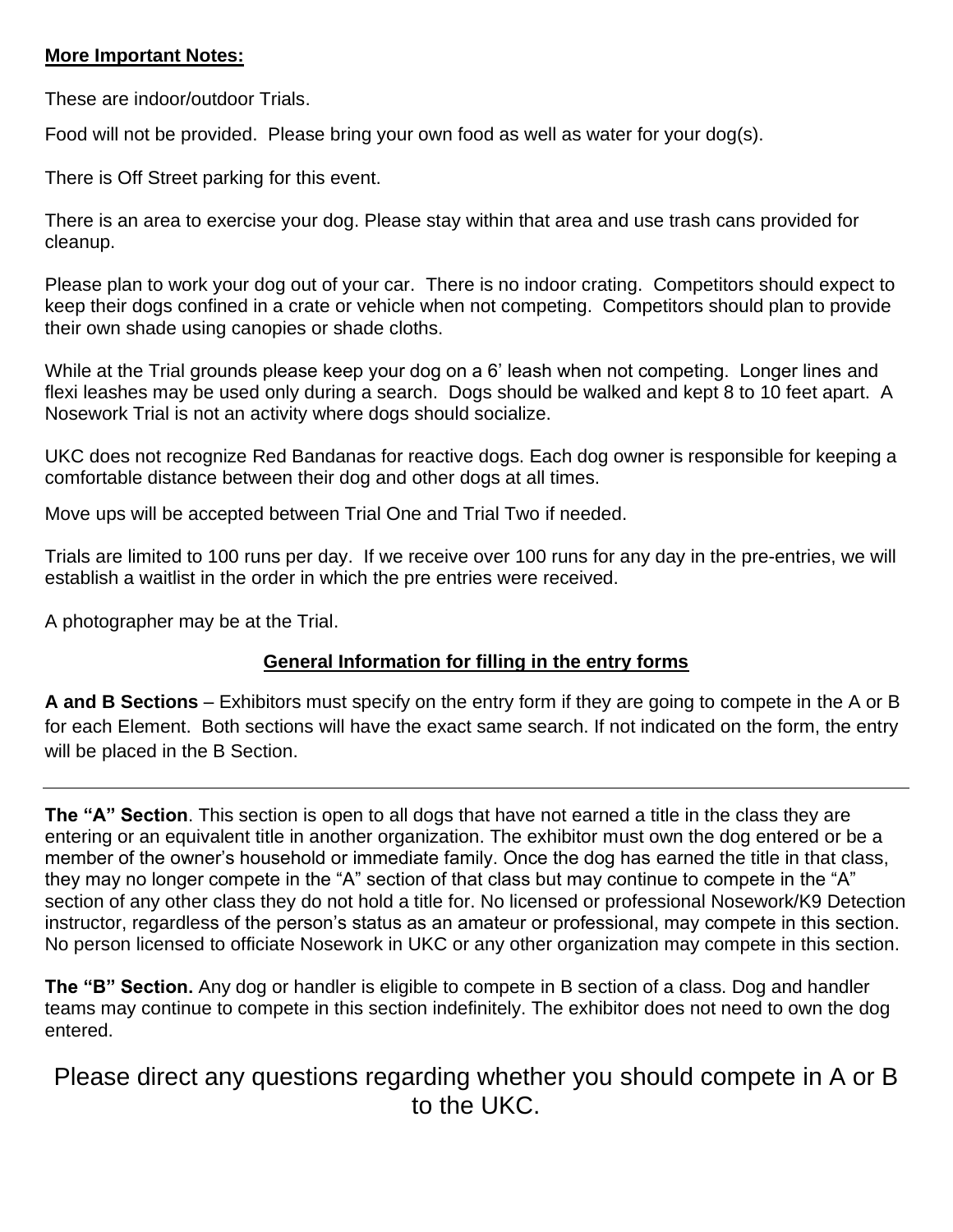## **More Important Notes:**

These are indoor/outdoor Trials.

Food will not be provided. Please bring your own food as well as water for your dog(s).

There is Off Street parking for this event.

There is an area to exercise your dog. Please stay within that area and use trash cans provided for cleanup.

Please plan to work your dog out of your car. There is no indoor crating. Competitors should expect to keep their dogs confined in a crate or vehicle when not competing. Competitors should plan to provide their own shade using canopies or shade cloths.

While at the Trial grounds please keep your dog on a 6' leash when not competing. Longer lines and flexi leashes may be used only during a search. Dogs should be walked and kept 8 to 10 feet apart. A Nosework Trial is not an activity where dogs should socialize.

UKC does not recognize Red Bandanas for reactive dogs. Each dog owner is responsible for keeping a comfortable distance between their dog and other dogs at all times.

Move ups will be accepted between Trial One and Trial Two if needed.

Trials are limited to 100 runs per day. If we receive over 100 runs for any day in the pre-entries, we will establish a waitlist in the order in which the pre entries were received.

A photographer may be at the Trial.

## **General Information for filling in the entry forms**

**A and B Sections** – Exhibitors must specify on the entry form if they are going to compete in the A or B for each Element. Both sections will have the exact same search. If not indicated on the form, the entry will be placed in the B Section.

**The "A" Section**. This section is open to all dogs that have not earned a title in the class they are entering or an equivalent title in another organization. The exhibitor must own the dog entered or be a member of the owner's household or immediate family. Once the dog has earned the title in that class, they may no longer compete in the "A" section of that class but may continue to compete in the "A" section of any other class they do not hold a title for. No licensed or professional Nosework/K9 Detection instructor, regardless of the person's status as an amateur or professional, may compete in this section. No person licensed to officiate Nosework in UKC or any other organization may compete in this section.

**The "B" Section.** Any dog or handler is eligible to compete in B section of a class. Dog and handler teams may continue to compete in this section indefinitely. The exhibitor does not need to own the dog entered.

Please direct any questions regarding whether you should compete in A or B to the UKC.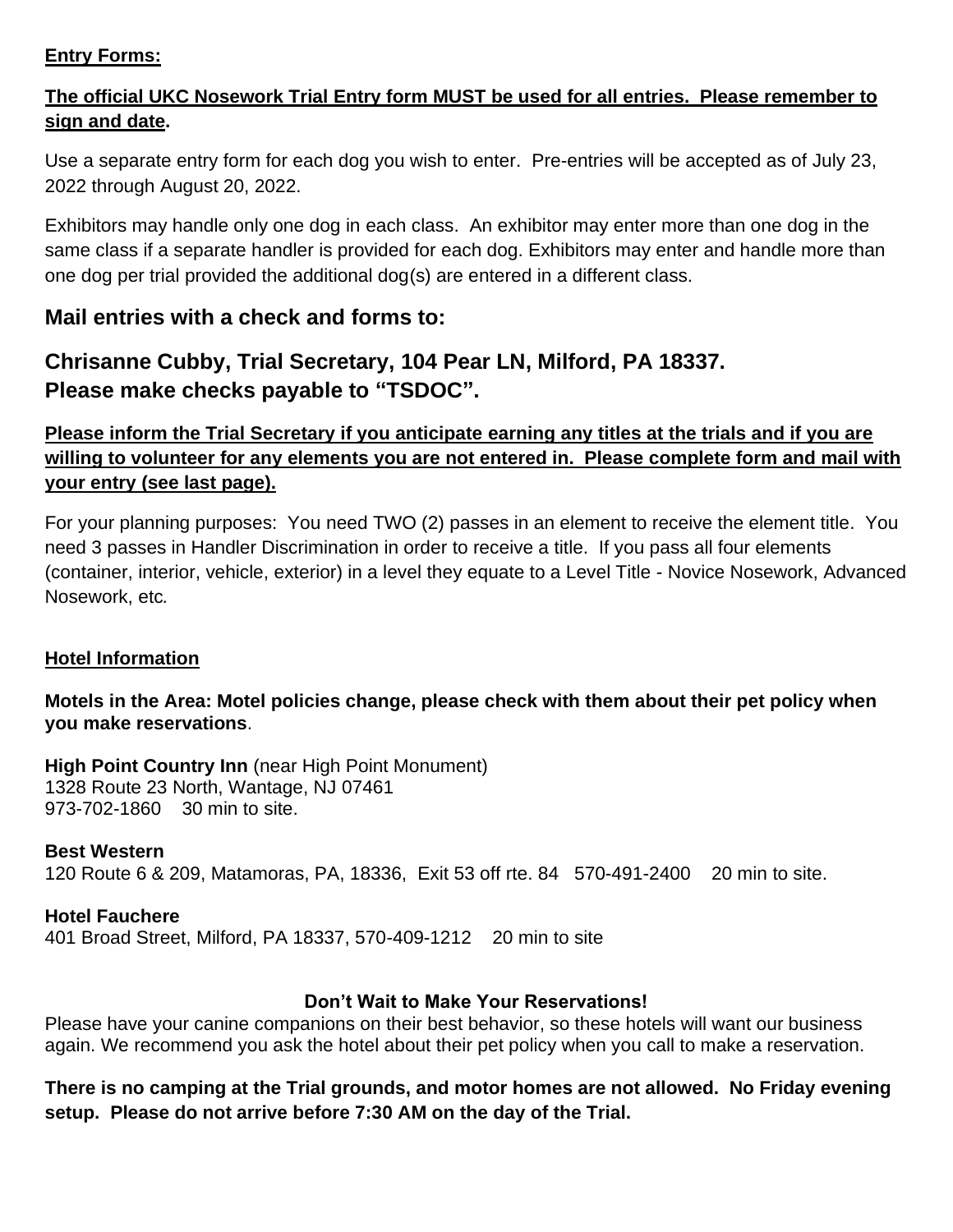## **Entry Forms:**

## **The official UKC Nosework Trial Entry form MUST be used for all entries. Please remember to sign and date.**

Use a separate entry form for each dog you wish to enter. Pre-entries will be accepted as of July 23, 2022 through August 20, 2022.

Exhibitors may handle only one dog in each class. An exhibitor may enter more than one dog in the same class if a separate handler is provided for each dog. Exhibitors may enter and handle more than one dog per trial provided the additional dog(s) are entered in a different class.

## **Mail entries with a check and forms to:**

# **Chrisanne Cubby, Trial Secretary, 104 Pear LN, Milford, PA 18337. Please make checks payable to "TSDOC".**

## **Please inform the Trial Secretary if you anticipate earning any titles at the trials and if you are willing to volunteer for any elements you are not entered in. Please complete form and mail with your entry (see last page).**

For your planning purposes: You need TWO (2) passes in an element to receive the element title. You need 3 passes in Handler Discrimination in order to receive a title. If you pass all four elements (container, interior, vehicle, exterior) in a level they equate to a Level Title - Novice Nosework, Advanced Nosework, etc*.* 

## **Hotel Information**

## **Motels in the Area: Motel policies change, please check with them about their pet policy when you make reservations**.

**High Point Country Inn** (near High Point Monument) 1328 Route 23 North, Wantage, NJ 07461 973-702-1860 30 min to site.

## **Best Western**

120 Route 6 & 209, Matamoras, PA, 18336, Exit 53 off rte. 84 570-491-2400 20 min to site.

## **Hotel Fauchere**

401 Broad Street, Milford, PA 18337, 570-409-1212 20 min to site

## **Don't Wait to Make Your Reservations!**

Please have your canine companions on their best behavior, so these hotels will want our business again. We recommend you ask the hotel about their pet policy when you call to make a reservation.

## **There is no camping at the Trial grounds, and motor homes are not allowed. No Friday evening setup. Please do not arrive before 7:30 AM on the day of the Trial.**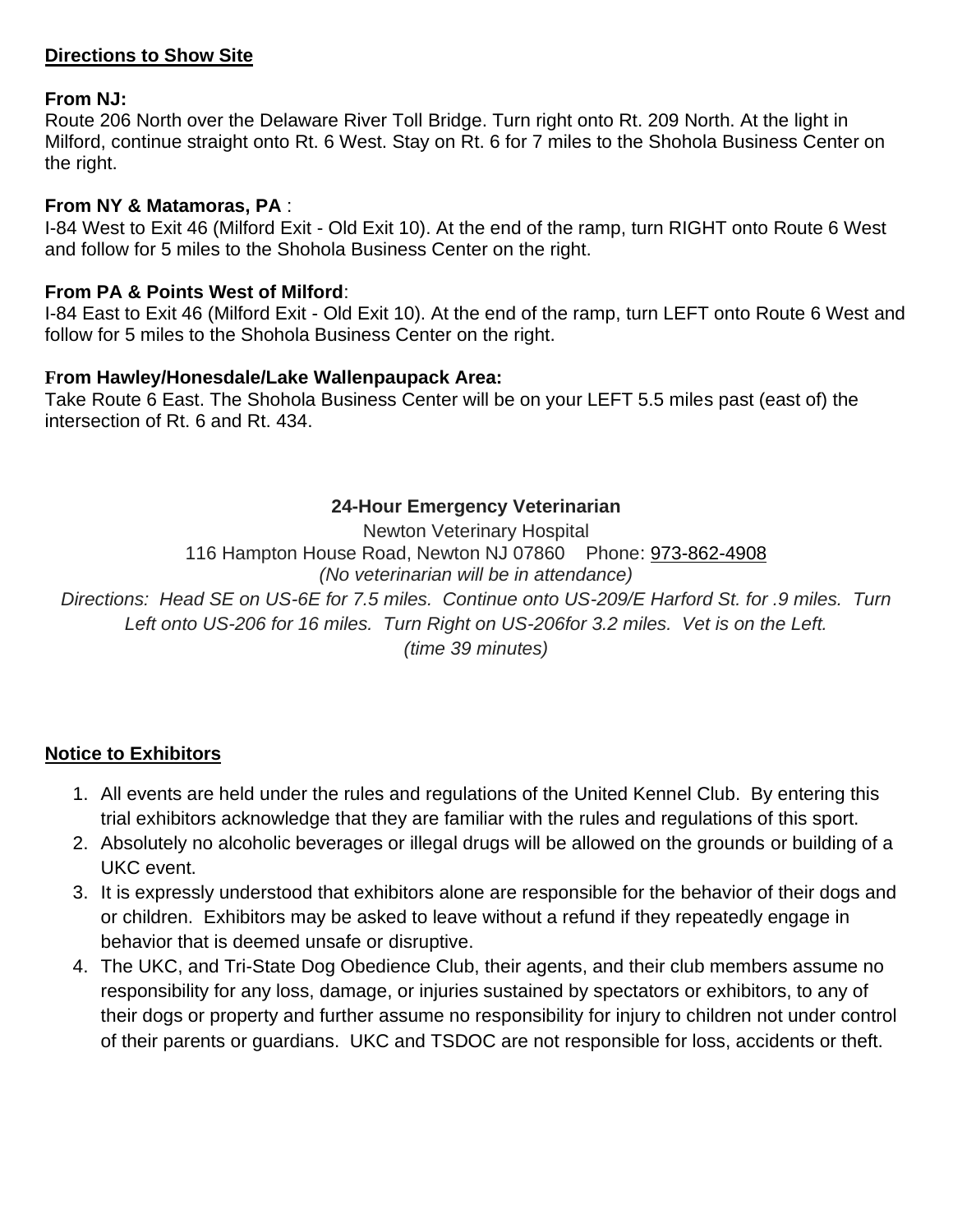## **Directions to Show Site**

## **From NJ:**

Route 206 North over the Delaware River Toll Bridge. Turn right onto Rt. 209 North. At the light in Milford, continue straight onto Rt. 6 West. Stay on Rt. 6 for 7 miles to the Shohola Business Center on the right.

#### **From NY & Matamoras, PA** :

I-84 West to Exit 46 (Milford Exit - Old Exit 10). At the end of the ramp, turn RIGHT onto Route 6 West and follow for 5 miles to the Shohola Business Center on the right.

## **From PA & Points West of Milford**:

I-84 East to Exit 46 (Milford Exit - Old Exit 10). At the end of the ramp, turn LEFT onto Route 6 West and follow for 5 miles to the Shohola Business Center on the right.

## **From Hawley/Honesdale/Lake Wallenpaupack Area:**

Take Route 6 East. The Shohola Business Center will be on your LEFT 5.5 miles past (east of) the intersection of Rt. 6 and Rt. 434.

## **24-Hour Emergency Veterinarian**

Newton Veterinary Hospital 116 Hampton House Road, Newton NJ 07860 Phone: 973-862-4908 *(No veterinarian will be in attendance) Directions: Head SE on US-6E for 7.5 miles. Continue onto US-209/E Harford St. for .9 miles. Turn Left onto US-206 for 16 miles. Turn Right on US-206for 3.2 miles. Vet is on the Left. (time 39 minutes)*

## **Notice to Exhibitors**

- 1. All events are held under the rules and regulations of the United Kennel Club. By entering this trial exhibitors acknowledge that they are familiar with the rules and regulations of this sport.
- 2. Absolutely no alcoholic beverages or illegal drugs will be allowed on the grounds or building of a UKC event.
- 3. It is expressly understood that exhibitors alone are responsible for the behavior of their dogs and or children. Exhibitors may be asked to leave without a refund if they repeatedly engage in behavior that is deemed unsafe or disruptive.
- 4. The UKC, and Tri-State Dog Obedience Club, their agents, and their club members assume no responsibility for any loss, damage, or injuries sustained by spectators or exhibitors, to any of their dogs or property and further assume no responsibility for injury to children not under control of their parents or guardians. UKC and TSDOC are not responsible for loss, accidents or theft.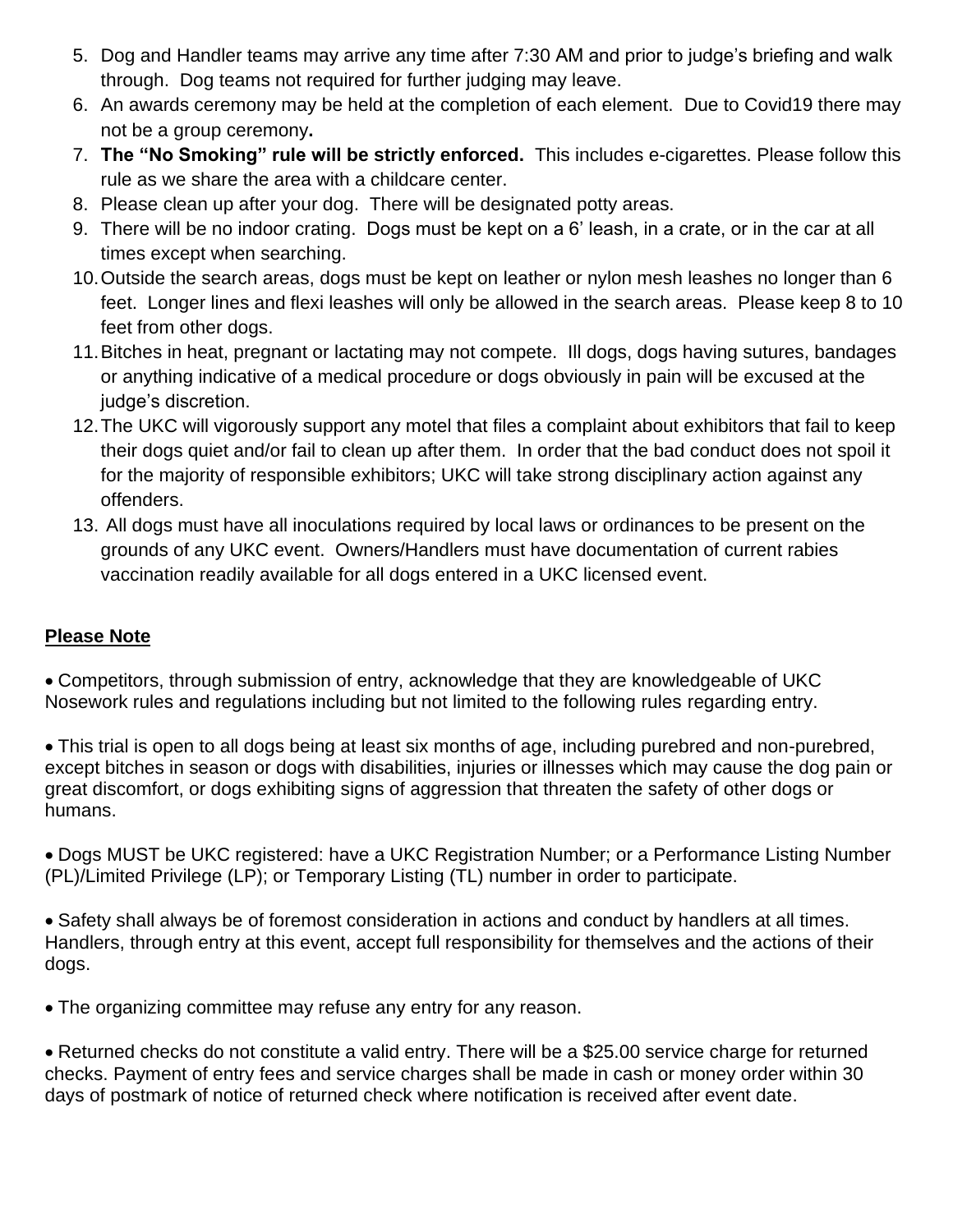- 5. Dog and Handler teams may arrive any time after 7:30 AM and prior to judge's briefing and walk through. Dog teams not required for further judging may leave.
- 6. An awards ceremony may be held at the completion of each element. Due to Covid19 there may not be a group ceremony**.**
- 7. **The "No Smoking" rule will be strictly enforced.** This includes e-cigarettes. Please follow this rule as we share the area with a childcare center.
- 8. Please clean up after your dog. There will be designated potty areas.
- 9. There will be no indoor crating. Dogs must be kept on a 6' leash, in a crate, or in the car at all times except when searching.
- 10.Outside the search areas, dogs must be kept on leather or nylon mesh leashes no longer than 6 feet. Longer lines and flexi leashes will only be allowed in the search areas. Please keep 8 to 10 feet from other dogs.
- 11.Bitches in heat, pregnant or lactating may not compete. Ill dogs, dogs having sutures, bandages or anything indicative of a medical procedure or dogs obviously in pain will be excused at the judge's discretion.
- 12.The UKC will vigorously support any motel that files a complaint about exhibitors that fail to keep their dogs quiet and/or fail to clean up after them. In order that the bad conduct does not spoil it for the majority of responsible exhibitors; UKC will take strong disciplinary action against any offenders.
- 13. All dogs must have all inoculations required by local laws or ordinances to be present on the grounds of any UKC event. Owners/Handlers must have documentation of current rabies vaccination readily available for all dogs entered in a UKC licensed event.

## **Please Note**

• Competitors, through submission of entry, acknowledge that they are knowledgeable of UKC Nosework rules and regulations including but not limited to the following rules regarding entry.

• This trial is open to all dogs being at least six months of age, including purebred and non-purebred, except bitches in season or dogs with disabilities, injuries or illnesses which may cause the dog pain or great discomfort, or dogs exhibiting signs of aggression that threaten the safety of other dogs or humans.

• Dogs MUST be UKC registered: have a UKC Registration Number; or a Performance Listing Number (PL)/Limited Privilege (LP); or Temporary Listing (TL) number in order to participate.

• Safety shall always be of foremost consideration in actions and conduct by handlers at all times. Handlers, through entry at this event, accept full responsibility for themselves and the actions of their dogs.

• The organizing committee may refuse any entry for any reason.

• Returned checks do not constitute a valid entry. There will be a \$25.00 service charge for returned checks. Payment of entry fees and service charges shall be made in cash or money order within 30 days of postmark of notice of returned check where notification is received after event date.